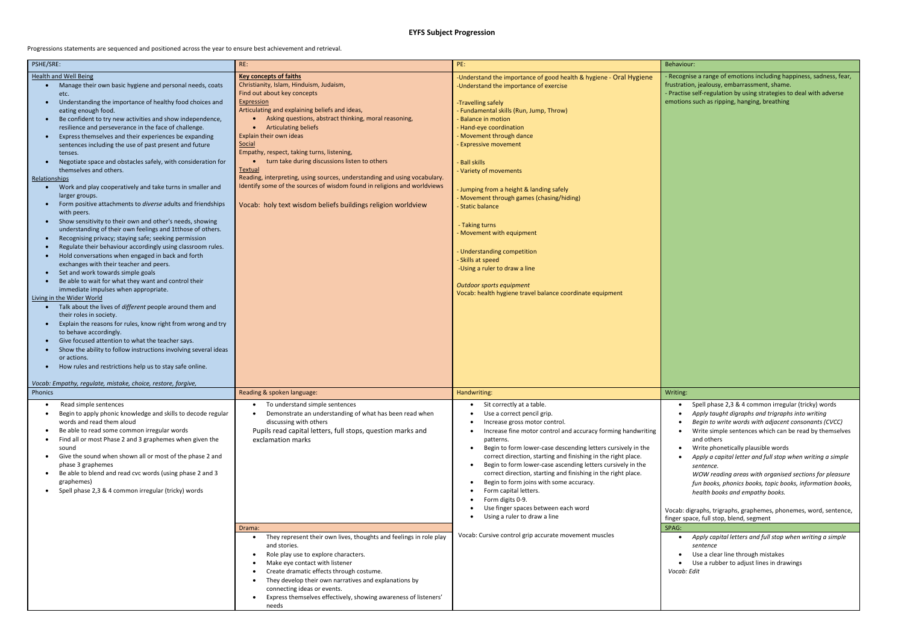**EYFS Subject Progression**

Progressions statements are sequenced and positioned across the year to ensure best achievement and retrieval.

| PSHE/SRE:                                                                                                                                                                                                                                                                                                                                                                                                                                                                                                                                                                                                                                                                                                                                                                                                                                                                                                                                                                                                                                                                                                                                                                                                                                                                                                                                                                                                                                                                                                                                                                                                                                                                                                                                                                                                                                                              | RE:                                                                                                                                                                                                                                                                                                                                                                                                                                                                                                                                                                                                                                                                | PE:                                                                                                                                                                                                                                                                                                                                                                                                                                                                                                                                                                                                                                                                                      | Behaviour:                                                 |
|------------------------------------------------------------------------------------------------------------------------------------------------------------------------------------------------------------------------------------------------------------------------------------------------------------------------------------------------------------------------------------------------------------------------------------------------------------------------------------------------------------------------------------------------------------------------------------------------------------------------------------------------------------------------------------------------------------------------------------------------------------------------------------------------------------------------------------------------------------------------------------------------------------------------------------------------------------------------------------------------------------------------------------------------------------------------------------------------------------------------------------------------------------------------------------------------------------------------------------------------------------------------------------------------------------------------------------------------------------------------------------------------------------------------------------------------------------------------------------------------------------------------------------------------------------------------------------------------------------------------------------------------------------------------------------------------------------------------------------------------------------------------------------------------------------------------------------------------------------------------|--------------------------------------------------------------------------------------------------------------------------------------------------------------------------------------------------------------------------------------------------------------------------------------------------------------------------------------------------------------------------------------------------------------------------------------------------------------------------------------------------------------------------------------------------------------------------------------------------------------------------------------------------------------------|------------------------------------------------------------------------------------------------------------------------------------------------------------------------------------------------------------------------------------------------------------------------------------------------------------------------------------------------------------------------------------------------------------------------------------------------------------------------------------------------------------------------------------------------------------------------------------------------------------------------------------------------------------------------------------------|------------------------------------------------------------|
| <b>Health and Well Being</b><br>Manage their own basic hygiene and personal needs, coats<br>$\bullet$<br>etc.<br>Understanding the importance of healthy food choices and<br>$\bullet$<br>eating enough food.<br>Be confident to try new activities and show independence,<br>$\bullet$<br>resilience and perseverance in the face of challenge.<br>Express themselves and their experiences be expanding<br>$\bullet$<br>sentences including the use of past present and future<br>tenses.<br>Negotiate space and obstacles safely, with consideration for<br>$\bullet$<br>themselves and others.<br><b>Relationships</b><br>Work and play cooperatively and take turns in smaller and<br>$\bullet$<br>larger groups.<br>Form positive attachments to diverse adults and friendships<br>$\bullet$<br>with peers.<br>Show sensitivity to their own and other's needs, showing<br>$\bullet$<br>understanding of their own feelings and 1tthose of others.<br>Recognising privacy; staying safe; seeking permission<br>$\bullet$<br>Regulate their behaviour accordingly using classroom rules.<br>$\bullet$<br>Hold conversations when engaged in back and forth<br>$\bullet$<br>exchanges with their teacher and peers.<br>Set and work towards simple goals<br>$\bullet$<br>Be able to wait for what they want and control their<br>$\bullet$<br>immediate impulses when appropriate.<br>Living in the Wider World<br>Talk about the lives of different people around them and<br>$\bullet$<br>their roles in society.<br>Explain the reasons for rules, know right from wrong and try<br>$\bullet$<br>to behave accordingly.<br>Give focused attention to what the teacher says.<br>$\bullet$<br>Show the ability to follow instructions involving several ideas<br>$\bullet$<br>or actions.<br>How rules and restrictions help us to stay safe online.<br>$\bullet$ | <b>Key concepts of faiths</b><br>Christianity, Islam, Hinduism, Judaism,<br>Find out about key concepts<br>Expression<br>Articulating and explaining beliefs and ideas,<br>Asking questions, abstract thinking, moral reasoning,<br><b>Articulating beliefs</b><br>$\bullet$<br><b>Explain their own ideas</b><br>Social<br>Empathy, respect, taking turns, listening,<br>turn take during discussions listen to others<br><b>Textual</b><br>Reading, interpreting, using sources, understanding and using vocabulary.<br>Identify some of the sources of wisdom found in religions and worldviews<br>Vocab: holy text wisdom beliefs buildings religion worldview | -Understand the importance of good health & hygiene - Oral Hygiene<br>-Understand the importance of exercise<br>-Travelling safely<br>- Fundamental skills (Run, Jump, Throw)<br><b>Balance in motion</b><br>- Hand-eye coordination<br>- Movement through dance<br><b>Expressive movement</b><br><b>Ball skills</b><br>- Variety of movements<br>- Jumping from a height & landing safely<br>- Movement through games (chasing/hiding)<br>- Static balance<br>- Taking turns<br>- Movement with equipment<br>- Understanding competition<br>- Skills at speed<br>-Using a ruler to draw a line<br>Outdoor sports equipment<br>Vocab: health hygiene travel balance coordinate equipment | - Recognise<br>frustration,<br>- Practise se<br>emotions s |
| Vocab: Empathy, regulate, mistake, choice, restore, forgive,<br>Phonics                                                                                                                                                                                                                                                                                                                                                                                                                                                                                                                                                                                                                                                                                                                                                                                                                                                                                                                                                                                                                                                                                                                                                                                                                                                                                                                                                                                                                                                                                                                                                                                                                                                                                                                                                                                                | Reading & spoken language:                                                                                                                                                                                                                                                                                                                                                                                                                                                                                                                                                                                                                                         | Handwriting:                                                                                                                                                                                                                                                                                                                                                                                                                                                                                                                                                                                                                                                                             | Writing:                                                   |
| Read simple sentences<br>٠<br>Begin to apply phonic knowledge and skills to decode regular<br>words and read them aloud<br>Be able to read some common irregular words<br>٠<br>Find all or most Phase 2 and 3 graphemes when given the<br>sound<br>Give the sound when shown all or most of the phase 2 and<br>$\bullet$<br>phase 3 graphemes<br>Be able to blend and read cvc words (using phase 2 and 3<br>٠<br>graphemes)<br>Spell phase 2,3 & 4 common irregular (tricky) words<br>$\bullet$                                                                                                                                                                                                                                                                                                                                                                                                                                                                                                                                                                                                                                                                                                                                                                                                                                                                                                                                                                                                                                                                                                                                                                                                                                                                                                                                                                       | To understand simple sentences<br>$\bullet$<br>Demonstrate an understanding of what has been read when<br>discussing with others<br>Pupils read capital letters, full stops, question marks and<br>exclamation marks                                                                                                                                                                                                                                                                                                                                                                                                                                               | Sit correctly at a table.<br>Use a correct pencil grip.<br>Increase gross motor control.<br>Increase fine motor control and accuracy forming handwriting<br>patterns.<br>Begin to form lower-case descending letters cursively in the<br>correct direction, starting and finishing in the right place.<br>Begin to form lower-case ascending letters cursively in the<br>correct direction, starting and finishing in the right place.<br>Begin to form joins with some accuracy.<br>Form capital letters.<br>Form digits 0-9.<br>Use finger spaces between each word<br>Using a ruler to draw a line                                                                                    | S<br>A<br>В<br>a<br>S)<br>Vocab: digr<br>finger spac       |
|                                                                                                                                                                                                                                                                                                                                                                                                                                                                                                                                                                                                                                                                                                                                                                                                                                                                                                                                                                                                                                                                                                                                                                                                                                                                                                                                                                                                                                                                                                                                                                                                                                                                                                                                                                                                                                                                        | Drama:<br>They represent their own lives, thoughts and feelings in role play<br>and stories.<br>Role play use to explore characters.<br>$\bullet$<br>Make eye contact with listener<br>$\bullet$<br>Create dramatic effects through costume.<br>They develop their own narratives and explanations by<br>$\bullet$<br>connecting ideas or events.<br>Express themselves effectively, showing awareness of listeners'<br>$\bullet$<br>needs                                                                                                                                                                                                                         | Vocab: Cursive control grip accurate movement muscles                                                                                                                                                                                                                                                                                                                                                                                                                                                                                                                                                                                                                                    | SPAG:<br>$\bullet$ $A$<br>S)<br>$\bullet$ U<br>Vocab: Ed   |

nise a range of emotions including happiness, sadness, fear, ion, jealousy, embarrassment, shame. e self-regulation by using strategies to deal with adverse

ns such as ripping, hanging, breathing

• Spell phase 2,3 & 4 common irregular (tricky) words • *Apply taught digraphs and trigraphs into writing*  • *Begin to write words with adjacent consonants (CVCC)* • Write simple sentences which can be read by themselves and others • Write phonetically plausible words

• *Apply a capital letter and full stop when writing a simple sentence.* 

*WOW reading areas with organised sections for pleasure fun books, phonics books, topic books, information books, health books and empathy books.*

digraphs, trigraphs, graphemes, phonemes, word, sentence, pace, full stop, blend, segment

• *Apply capital letters and full stop when writing a simple sentence*  Use a clear line through mistakes Use a rubber to adjust lines in drawings *Vocab: Edit*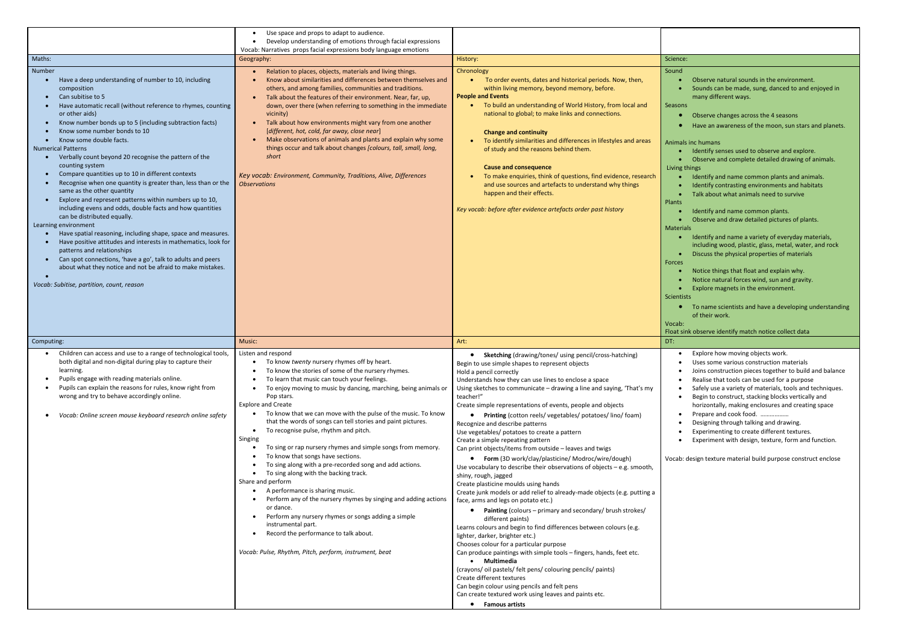|                                                                                                                                                                                                                                                                                                                                                                                                                                                                                                                                                                                                                                                                                                                                                                                                                                                                                                                                                                                                                                                                                                  | Use space and props to adapt to audience.<br>Develop understanding of emotions through facial expressions                                                                                                                                                                                                                                                                                                                                                                                                                                                                                                                                                                                                                                                                                                                                                                                                                                                                                                                   |                                                                                                                                                                                                                                                                                                                                                                                                                                                                                                                                                                                                                                                                                                                                                                                                                                                                                                                                                                                                                                                                                                                                                                                                                                                                                                                                                                                                                                                                                                  |                                                                                                                                                                                                                                                                                                                                                                                                                                                                                                                                                                                                                                                                                                                                                                                                                                                                                                                                                                                                                                                                                                                                                   |
|--------------------------------------------------------------------------------------------------------------------------------------------------------------------------------------------------------------------------------------------------------------------------------------------------------------------------------------------------------------------------------------------------------------------------------------------------------------------------------------------------------------------------------------------------------------------------------------------------------------------------------------------------------------------------------------------------------------------------------------------------------------------------------------------------------------------------------------------------------------------------------------------------------------------------------------------------------------------------------------------------------------------------------------------------------------------------------------------------|-----------------------------------------------------------------------------------------------------------------------------------------------------------------------------------------------------------------------------------------------------------------------------------------------------------------------------------------------------------------------------------------------------------------------------------------------------------------------------------------------------------------------------------------------------------------------------------------------------------------------------------------------------------------------------------------------------------------------------------------------------------------------------------------------------------------------------------------------------------------------------------------------------------------------------------------------------------------------------------------------------------------------------|--------------------------------------------------------------------------------------------------------------------------------------------------------------------------------------------------------------------------------------------------------------------------------------------------------------------------------------------------------------------------------------------------------------------------------------------------------------------------------------------------------------------------------------------------------------------------------------------------------------------------------------------------------------------------------------------------------------------------------------------------------------------------------------------------------------------------------------------------------------------------------------------------------------------------------------------------------------------------------------------------------------------------------------------------------------------------------------------------------------------------------------------------------------------------------------------------------------------------------------------------------------------------------------------------------------------------------------------------------------------------------------------------------------------------------------------------------------------------------------------------|---------------------------------------------------------------------------------------------------------------------------------------------------------------------------------------------------------------------------------------------------------------------------------------------------------------------------------------------------------------------------------------------------------------------------------------------------------------------------------------------------------------------------------------------------------------------------------------------------------------------------------------------------------------------------------------------------------------------------------------------------------------------------------------------------------------------------------------------------------------------------------------------------------------------------------------------------------------------------------------------------------------------------------------------------------------------------------------------------------------------------------------------------|
|                                                                                                                                                                                                                                                                                                                                                                                                                                                                                                                                                                                                                                                                                                                                                                                                                                                                                                                                                                                                                                                                                                  | Vocab: Narratives props facial expressions body language emotions                                                                                                                                                                                                                                                                                                                                                                                                                                                                                                                                                                                                                                                                                                                                                                                                                                                                                                                                                           |                                                                                                                                                                                                                                                                                                                                                                                                                                                                                                                                                                                                                                                                                                                                                                                                                                                                                                                                                                                                                                                                                                                                                                                                                                                                                                                                                                                                                                                                                                  |                                                                                                                                                                                                                                                                                                                                                                                                                                                                                                                                                                                                                                                                                                                                                                                                                                                                                                                                                                                                                                                                                                                                                   |
| Maths:                                                                                                                                                                                                                                                                                                                                                                                                                                                                                                                                                                                                                                                                                                                                                                                                                                                                                                                                                                                                                                                                                           | Geography:                                                                                                                                                                                                                                                                                                                                                                                                                                                                                                                                                                                                                                                                                                                                                                                                                                                                                                                                                                                                                  | History:                                                                                                                                                                                                                                                                                                                                                                                                                                                                                                                                                                                                                                                                                                                                                                                                                                                                                                                                                                                                                                                                                                                                                                                                                                                                                                                                                                                                                                                                                         | Science:                                                                                                                                                                                                                                                                                                                                                                                                                                                                                                                                                                                                                                                                                                                                                                                                                                                                                                                                                                                                                                                                                                                                          |
| Number<br>Have a deep understanding of number to 10, including<br>composition<br>Can subitise to 5<br>Have automatic recall (without reference to rhymes, counting<br>or other aids)<br>Know number bonds up to 5 (including subtraction facts)<br>Know some number bonds to 10<br>Know some double facts.<br><b>Numerical Patterns</b><br>Verbally count beyond 20 recognise the pattern of the<br>counting system<br>Compare quantities up to 10 in different contexts<br>Recognise when one quantity is greater than, less than or the<br>same as the other quantity<br>Explore and represent patterns within numbers up to 10,<br>including evens and odds, double facts and how quantities<br>can be distributed equally.<br>Learning environment<br>Have spatial reasoning, including shape, space and measures.<br>Have positive attitudes and interests in mathematics, look for<br>patterns and relationships<br>Can spot connections, 'have a go', talk to adults and peers<br>about what they notice and not be afraid to make mistakes.<br>Vocab: Subitise, partition, count, reason | Relation to places, objects, materials and living things.<br>Know about similarities and differences between themselves and<br>others, and among families, communities and traditions.<br>Talk about the features of their environment. Near, far, up,<br>down, over there (when referring to something in the immediate<br>vicinity)<br>Talk about how environments might vary from one another<br>[different, hot, cold, far away, close near]<br>Make observations of animals and plants and explain why some<br>things occur and talk about changes [colours, tall, small, long,<br>short<br>Key vocab: Environment, Community, Traditions, Alive, Differences<br><b>Observations</b>                                                                                                                                                                                                                                                                                                                                   | Chronology<br>To order events, dates and historical periods. Now, then,<br>within living memory, beyond memory, before.<br><b>People and Events</b><br>To build an understanding of World History, from local and<br>$\bullet$<br>national to global; to make links and connections.<br><b>Change and continuity</b><br>• To identify similarities and differences in lifestyles and areas<br>of study and the reasons behind them.<br><b>Cause and consequence</b><br>To make enquiries, think of questions, find evidence, research<br>and use sources and artefacts to understand why things<br>happen and their effects.<br>Key vocab: before after evidence artefacts order past history                                                                                                                                                                                                                                                                                                                                                                                                                                                                                                                                                                                                                                                                                                                                                                                                    | Sound<br>Observe natural sounds in the environment.<br>Sounds can be made, sung, danced to and enjoyed in<br>many different ways.<br>Seasons<br>Observe changes across the 4 seasons<br>Have an awareness of the moon, sun stars and planets.<br>Animals inc humans<br>Identify senses used to observe and explore.<br>Observe and complete detailed drawing of animals.<br>Living things<br>Identify and name common plants and animals.<br>Identify contrasting environments and habitats<br>Talk about what animals need to survive<br>Plants<br>Identify and name common plants.<br>Observe and draw detailed pictures of plants.<br>$\bullet$<br><b>Materials</b><br>Identify and name a variety of everyday materials,<br>including wood, plastic, glass, metal, water, and rock<br>Discuss the physical properties of materials<br>Forces<br>Notice things that float and explain why.<br>Notice natural forces wind, sun and gravity.<br>Explore magnets in the environment.<br>Scientists<br>To name scientists and have a developing understanding<br>of their work.<br>Vocab:<br>Float sink observe identify match notice collect data |
| Computing:                                                                                                                                                                                                                                                                                                                                                                                                                                                                                                                                                                                                                                                                                                                                                                                                                                                                                                                                                                                                                                                                                       | Music:                                                                                                                                                                                                                                                                                                                                                                                                                                                                                                                                                                                                                                                                                                                                                                                                                                                                                                                                                                                                                      | Art:                                                                                                                                                                                                                                                                                                                                                                                                                                                                                                                                                                                                                                                                                                                                                                                                                                                                                                                                                                                                                                                                                                                                                                                                                                                                                                                                                                                                                                                                                             | DT:                                                                                                                                                                                                                                                                                                                                                                                                                                                                                                                                                                                                                                                                                                                                                                                                                                                                                                                                                                                                                                                                                                                                               |
| Children can access and use to a range of technological tools,<br>both digital and non-digital during play to capture their<br>learning.<br>Pupils engage with reading materials online.<br>Pupils can explain the reasons for rules, know right from<br>wrong and try to behave accordingly online.<br>Vocab: Online screen mouse keyboard research online safety                                                                                                                                                                                                                                                                                                                                                                                                                                                                                                                                                                                                                                                                                                                               | Listen and respond<br>• To know twenty nursery rhymes off by heart.<br>To know the stories of some of the nursery rhymes.<br>To learn that music can touch your feelings.<br>To enjoy moving to music by dancing, marching, being animals or<br>Pop stars.<br><b>Explore and Create</b><br>• To know that we can move with the pulse of the music. To know<br>that the words of songs can tell stories and paint pictures.<br>To recognise pulse, rhythm and pitch.<br>$\bullet$<br>Singing<br>To sing or rap nursery rhymes and simple songs from memory.<br>To know that songs have sections.<br>To sing along with a pre-recorded song and add actions.<br>To sing along with the backing track.<br>Share and perform<br>A performance is sharing music.<br>Perform any of the nursery rhymes by singing and adding actions<br>or dance.<br>Perform any nursery rhymes or songs adding a simple<br>instrumental part.<br>Record the performance to talk about.<br>Vocab: Pulse, Rhythm, Pitch, perform, instrument, beat | • Sketching (drawing/tones/ using pencil/cross-hatching)<br>Begin to use simple shapes to represent objects<br>Hold a pencil correctly<br>Understands how they can use lines to enclose a space<br>Using sketches to communicate – drawing a line and saying, 'That's my<br>teacher!"<br>Create simple representations of events, people and objects<br><b>Printing</b> (cotton reels/ vegetables/ potatoes/ lino/ foam)<br>Recognize and describe patterns<br>Use vegetables/ potatoes to create a pattern<br>Create a simple repeating pattern<br>Can print objects/items from outside – leaves and twigs<br>• Form (3D work/clay/plasticine/ Modroc/wire/dough)<br>Use vocabulary to describe their observations of objects $-$ e.g. smooth,<br>shiny, rough, jagged<br>Create plasticine moulds using hands<br>Create junk models or add relief to already-made objects (e.g. putting a<br>face, arms and legs on potato etc.)<br><b>Painting</b> (colours – primary and secondary/ brush strokes/<br>different paints)<br>Learns colours and begin to find differences between colours (e.g.<br>lighter, darker, brighter etc.)<br>Chooses colour for a particular purpose<br>Can produce paintings with simple tools - fingers, hands, feet etc.<br>• Multimedia<br>(crayons/ oil pastels/ felt pens/ colouring pencils/ paints)<br>Create different textures<br>Can begin colour using pencils and felt pens<br>Can create textured work using leaves and paints etc.<br>• Famous artists | Explore how moving objects work.<br>Uses some various construction materials<br>Joins construction pieces together to build and balance<br>Realise that tools can be used for a purpose<br>Safely use a variety of materials, tools and techniques.<br>Begin to construct, stacking blocks vertically and<br>horizontally, making enclosures and creating space<br>Prepare and cook food.<br>Designing through talking and drawing.<br>Experimenting to create different textures.<br>Experiment with design, texture, form and function.<br>Vocab: design texture material build purpose construct enclose                                                                                                                                                                                                                                                                                                                                                                                                                                                                                                                                       |